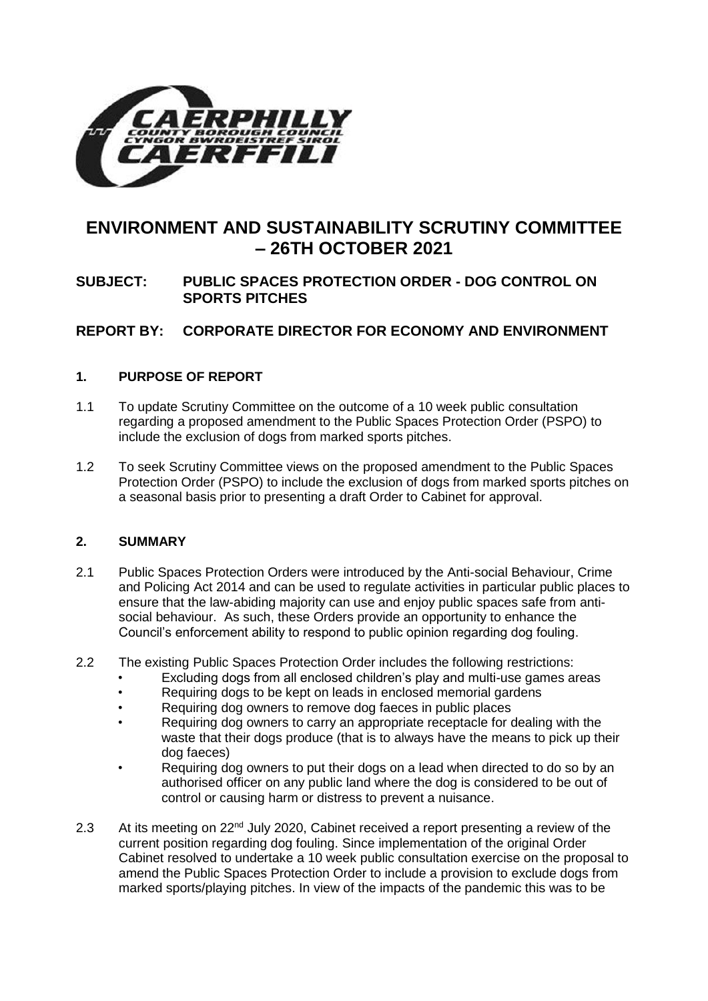

# **ENVIRONMENT AND SUSTAINABILITY SCRUTINY COMMITTEE – 26TH OCTOBER 2021**

# **SUBJECT: PUBLIC SPACES PROTECTION ORDER - DOG CONTROL ON SPORTS PITCHES**

# **REPORT BY: CORPORATE DIRECTOR FOR ECONOMY AND ENVIRONMENT**

# **1. PURPOSE OF REPORT**

- 1.1 To update Scrutiny Committee on the outcome of a 10 week public consultation regarding a proposed amendment to the Public Spaces Protection Order (PSPO) to include the exclusion of dogs from marked sports pitches.
- 1.2 To seek Scrutiny Committee views on the proposed amendment to the Public Spaces Protection Order (PSPO) to include the exclusion of dogs from marked sports pitches on a seasonal basis prior to presenting a draft Order to Cabinet for approval.

#### **2. SUMMARY**

- 2.1 Public Spaces Protection Orders were introduced by the Anti-social Behaviour, Crime and Policing Act 2014 and can be used to regulate activities in particular public places to ensure that the law-abiding majority can use and enjoy public spaces safe from antisocial behaviour. As such, these Orders provide an opportunity to enhance the Council's enforcement ability to respond to public opinion regarding dog fouling.
- 2.2 The existing Public Spaces Protection Order includes the following restrictions:
	- Excluding dogs from all enclosed children's play and multi-use games areas
	- Requiring dogs to be kept on leads in enclosed memorial gardens
	- Requiring dog owners to remove dog faeces in public places
	- Requiring dog owners to carry an appropriate receptacle for dealing with the waste that their dogs produce (that is to always have the means to pick up their dog faeces)
	- Requiring dog owners to put their dogs on a lead when directed to do so by an authorised officer on any public land where the dog is considered to be out of control or causing harm or distress to prevent a nuisance.
- 2.3 At its meeting on 22<sup>nd</sup> July 2020, Cabinet received a report presenting a review of the current position regarding dog fouling. Since implementation of the original Order Cabinet resolved to undertake a 10 week public consultation exercise on the proposal to amend the Public Spaces Protection Order to include a provision to exclude dogs from marked sports/playing pitches. In view of the impacts of the pandemic this was to be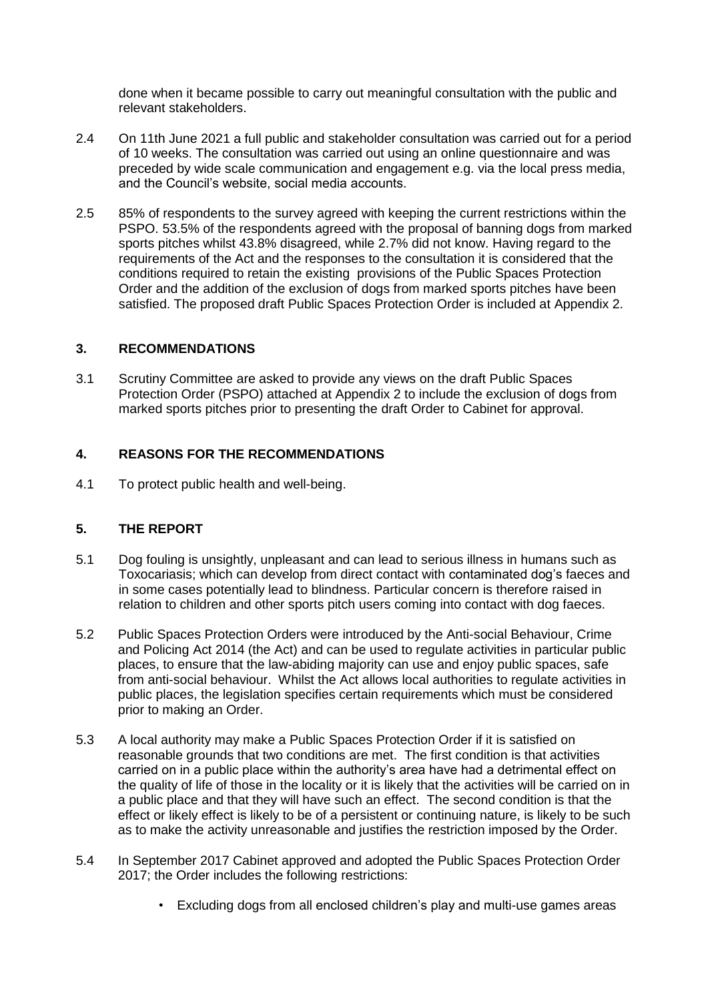done when it became possible to carry out meaningful consultation with the public and relevant stakeholders.

- 2.4 On 11th June 2021 a full public and stakeholder consultation was carried out for a period of 10 weeks. The consultation was carried out using an online questionnaire and was preceded by wide scale communication and engagement e.g. via the local press media, and the Council's website, social media accounts.
- 2.5 85% of respondents to the survey agreed with keeping the current restrictions within the PSPO. 53.5% of the respondents agreed with the proposal of banning dogs from marked sports pitches whilst 43.8% disagreed, while 2.7% did not know. Having regard to the requirements of the Act and the responses to the consultation it is considered that the conditions required to retain the existing provisions of the Public Spaces Protection Order and the addition of the exclusion of dogs from marked sports pitches have been satisfied. The proposed draft Public Spaces Protection Order is included at Appendix 2.

#### **3. RECOMMENDATIONS**

3.1 Scrutiny Committee are asked to provide any views on the draft Public Spaces Protection Order (PSPO) attached at Appendix 2 to include the exclusion of dogs from marked sports pitches prior to presenting the draft Order to Cabinet for approval.

#### **4. REASONS FOR THE RECOMMENDATIONS**

4.1 To protect public health and well-being.

#### **5. THE REPORT**

- 5.1 Dog fouling is unsightly, unpleasant and can lead to serious illness in humans such as Toxocariasis; which can develop from direct contact with contaminated dog's faeces and in some cases potentially lead to blindness. Particular concern is therefore raised in relation to children and other sports pitch users coming into contact with dog faeces.
- 5.2 Public Spaces Protection Orders were introduced by the Anti-social Behaviour, Crime and Policing Act 2014 (the Act) and can be used to regulate activities in particular public places, to ensure that the law-abiding majority can use and enjoy public spaces, safe from anti-social behaviour. Whilst the Act allows local authorities to regulate activities in public places, the legislation specifies certain requirements which must be considered prior to making an Order.
- 5.3 A local authority may make a Public Spaces Protection Order if it is satisfied on reasonable grounds that two conditions are met. The first condition is that activities carried on in a public place within the authority's area have had a detrimental effect on the quality of life of those in the locality or it is likely that the activities will be carried on in a public place and that they will have such an effect. The second condition is that the effect or likely effect is likely to be of a persistent or continuing nature, is likely to be such as to make the activity unreasonable and justifies the restriction imposed by the Order.
- 5.4 In September 2017 Cabinet approved and adopted the Public Spaces Protection Order 2017; the Order includes the following restrictions:
	- Excluding dogs from all enclosed children's play and multi-use games areas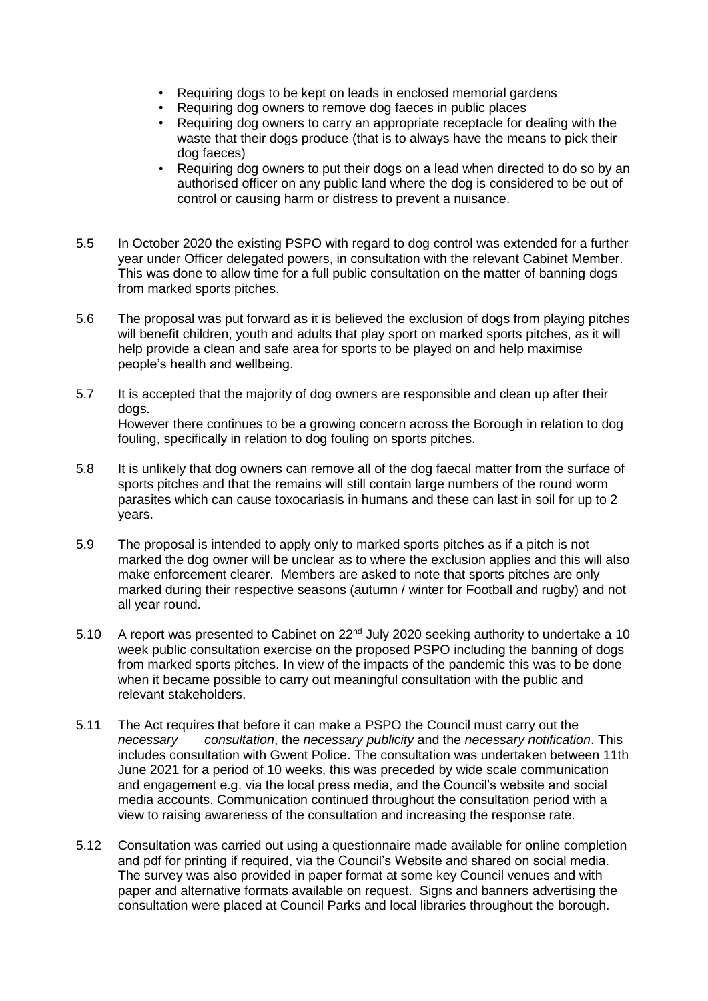- Requiring dogs to be kept on leads in enclosed memorial gardens
- Requiring dog owners to remove dog faeces in public places
- Requiring dog owners to carry an appropriate receptacle for dealing with the waste that their dogs produce (that is to always have the means to pick their dog faeces)
- Requiring dog owners to put their dogs on a lead when directed to do so by an authorised officer on any public land where the dog is considered to be out of control or causing harm or distress to prevent a nuisance.
- 5.5 In October 2020 the existing PSPO with regard to dog control was extended for a further year under Officer delegated powers, in consultation with the relevant Cabinet Member. This was done to allow time for a full public consultation on the matter of banning dogs from marked sports pitches.
- 5.6 The proposal was put forward as it is believed the exclusion of dogs from playing pitches will benefit children, youth and adults that play sport on marked sports pitches, as it will help provide a clean and safe area for sports to be played on and help maximise people's health and wellbeing.
- 5.7 It is accepted that the majority of dog owners are responsible and clean up after their dogs. However there continues to be a growing concern across the Borough in relation to dog fouling, specifically in relation to dog fouling on sports pitches.
- 5.8 It is unlikely that dog owners can remove all of the dog faecal matter from the surface of sports pitches and that the remains will still contain large numbers of the round worm parasites which can cause toxocariasis in humans and these can last in soil for up to 2 years.
- 5.9 The proposal is intended to apply only to marked sports pitches as if a pitch is not marked the dog owner will be unclear as to where the exclusion applies and this will also make enforcement clearer. Members are asked to note that sports pitches are only marked during their respective seasons (autumn / winter for Football and rugby) and not all year round.
- 5.10 A report was presented to Cabinet on 22<sup>nd</sup> July 2020 seeking authority to undertake a 10 week public consultation exercise on the proposed PSPO including the banning of dogs from marked sports pitches. In view of the impacts of the pandemic this was to be done when it became possible to carry out meaningful consultation with the public and relevant stakeholders.
- 5.11 The Act requires that before it can make a PSPO the Council must carry out the *necessary consultation*, the *necessary publicity* and the *necessary notification*. This includes consultation with Gwent Police. The consultation was undertaken between 11th June 2021 for a period of 10 weeks, this was preceded by wide scale communication and engagement e.g. via the local press media, and the Council's website and social media accounts. Communication continued throughout the consultation period with a view to raising awareness of the consultation and increasing the response rate.
- 5.12 Consultation was carried out using a questionnaire made available for online completion and pdf for printing if required, via the Council's Website and shared on social media. The survey was also provided in paper format at some key Council venues and with paper and alternative formats available on request. Signs and banners advertising the consultation were placed at Council Parks and local libraries throughout the borough.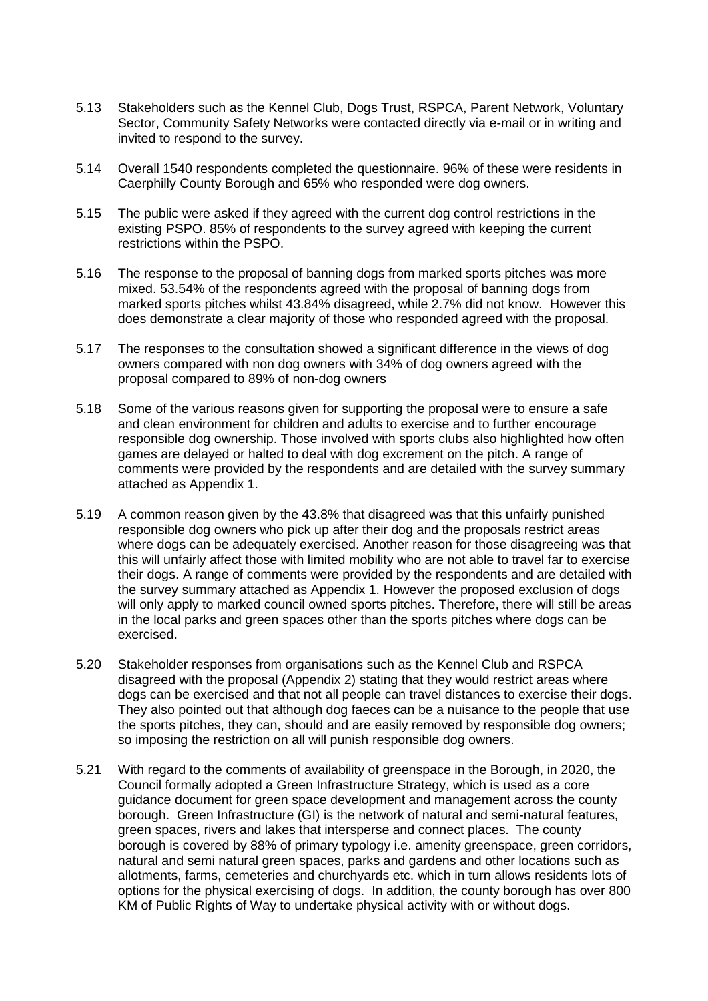- 5.13 Stakeholders such as the Kennel Club, Dogs Trust, RSPCA, Parent Network, Voluntary Sector, Community Safety Networks were contacted directly via e-mail or in writing and invited to respond to the survey.
- 5.14 Overall 1540 respondents completed the questionnaire. 96% of these were residents in Caerphilly County Borough and 65% who responded were dog owners.
- 5.15 The public were asked if they agreed with the current dog control restrictions in the existing PSPO. 85% of respondents to the survey agreed with keeping the current restrictions within the PSPO.
- 5.16 The response to the proposal of banning dogs from marked sports pitches was more mixed. 53.54% of the respondents agreed with the proposal of banning dogs from marked sports pitches whilst 43.84% disagreed, while 2.7% did not know. However this does demonstrate a clear majority of those who responded agreed with the proposal.
- 5.17 The responses to the consultation showed a significant difference in the views of dog owners compared with non dog owners with 34% of dog owners agreed with the proposal compared to 89% of non-dog owners
- 5.18 Some of the various reasons given for supporting the proposal were to ensure a safe and clean environment for children and adults to exercise and to further encourage responsible dog ownership. Those involved with sports clubs also highlighted how often games are delayed or halted to deal with dog excrement on the pitch. A range of comments were provided by the respondents and are detailed with the survey summary attached as Appendix 1.
- 5.19 A common reason given by the 43.8% that disagreed was that this unfairly punished responsible dog owners who pick up after their dog and the proposals restrict areas where dogs can be adequately exercised. Another reason for those disagreeing was that this will unfairly affect those with limited mobility who are not able to travel far to exercise their dogs. A range of comments were provided by the respondents and are detailed with the survey summary attached as Appendix 1. However the proposed exclusion of dogs will only apply to marked council owned sports pitches. Therefore, there will still be areas in the local parks and green spaces other than the sports pitches where dogs can be exercised.
- 5.20 Stakeholder responses from organisations such as the Kennel Club and RSPCA disagreed with the proposal (Appendix 2) stating that they would restrict areas where dogs can be exercised and that not all people can travel distances to exercise their dogs. They also pointed out that although dog faeces can be a nuisance to the people that use the sports pitches, they can, should and are easily removed by responsible dog owners; so imposing the restriction on all will punish responsible dog owners.
- 5.21 With regard to the comments of availability of greenspace in the Borough, in 2020, the Council formally adopted a Green Infrastructure Strategy, which is used as a core guidance document for green space development and management across the county borough. Green Infrastructure (GI) is the network of natural and semi-natural features, green spaces, rivers and lakes that intersperse and connect places. The county borough is covered by 88% of primary typology i.e. amenity greenspace, green corridors, natural and semi natural green spaces, parks and gardens and other locations such as allotments, farms, cemeteries and churchyards etc. which in turn allows residents lots of options for the physical exercising of dogs. In addition, the county borough has over 800 KM of Public Rights of Way to undertake physical activity with or without dogs.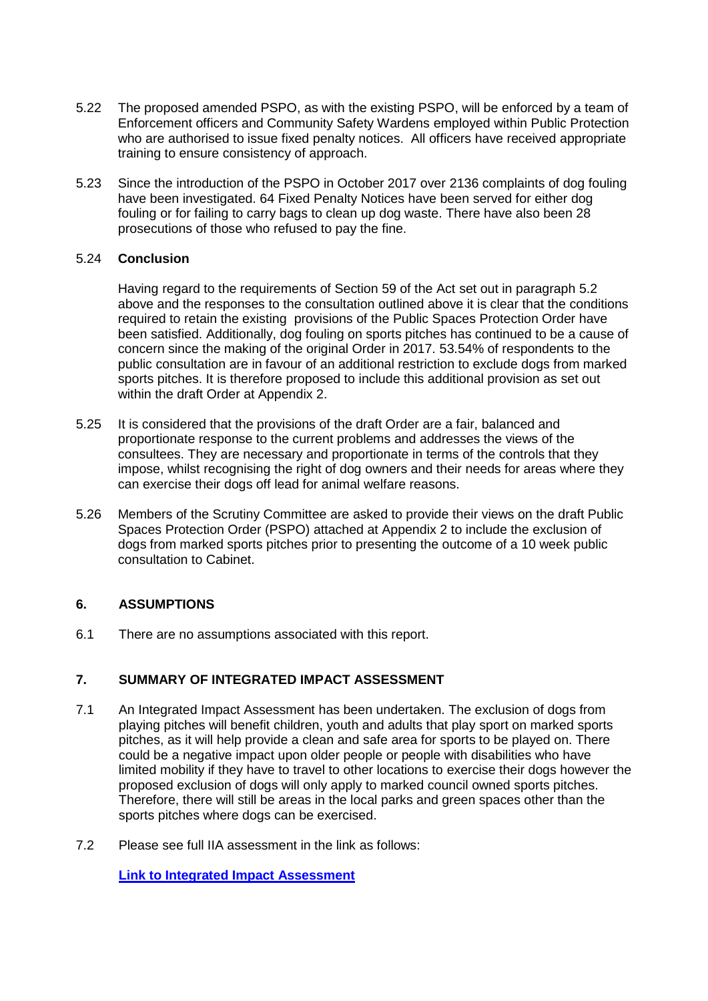- 5.22 The proposed amended PSPO, as with the existing PSPO, will be enforced by a team of Enforcement officers and Community Safety Wardens employed within Public Protection who are authorised to issue fixed penalty notices. All officers have received appropriate training to ensure consistency of approach.
- 5.23 Since the introduction of the PSPO in October 2017 over 2136 complaints of dog fouling have been investigated. 64 Fixed Penalty Notices have been served for either dog fouling or for failing to carry bags to clean up dog waste. There have also been 28 prosecutions of those who refused to pay the fine.

#### 5.24 **Conclusion**

Having regard to the requirements of Section 59 of the Act set out in paragraph 5.2 above and the responses to the consultation outlined above it is clear that the conditions required to retain the existing provisions of the Public Spaces Protection Order have been satisfied. Additionally, dog fouling on sports pitches has continued to be a cause of concern since the making of the original Order in 2017. 53.54% of respondents to the public consultation are in favour of an additional restriction to exclude dogs from marked sports pitches. It is therefore proposed to include this additional provision as set out within the draft Order at Appendix 2.

- 5.25 It is considered that the provisions of the draft Order are a fair, balanced and proportionate response to the current problems and addresses the views of the consultees. They are necessary and proportionate in terms of the controls that they impose, whilst recognising the right of dog owners and their needs for areas where they can exercise their dogs off lead for animal welfare reasons.
- 5.26 Members of the Scrutiny Committee are asked to provide their views on the draft Public Spaces Protection Order (PSPO) attached at Appendix 2 to include the exclusion of dogs from marked sports pitches prior to presenting the outcome of a 10 week public consultation to Cabinet.

# **6. ASSUMPTIONS**

6.1 There are no assumptions associated with this report.

# **7. SUMMARY OF INTEGRATED IMPACT ASSESSMENT**

- 7.1 An Integrated Impact Assessment has been undertaken. The exclusion of dogs from playing pitches will benefit children, youth and adults that play sport on marked sports pitches, as it will help provide a clean and safe area for sports to be played on. There could be a negative impact upon older people or people with disabilities who have limited mobility if they have to travel to other locations to exercise their dogs however the proposed exclusion of dogs will only apply to marked council owned sports pitches. Therefore, there will still be areas in the local parks and green spaces other than the sports pitches where dogs can be exercised.
- 7.2 Please see full IIA assessment in the link as follows:

**[Link to Integrated Impact Assessment](https://www.caerphilly.gov.uk/CaerphillyDocs/IIA/ccbc-iia-public-protection-environmental-health-fo)**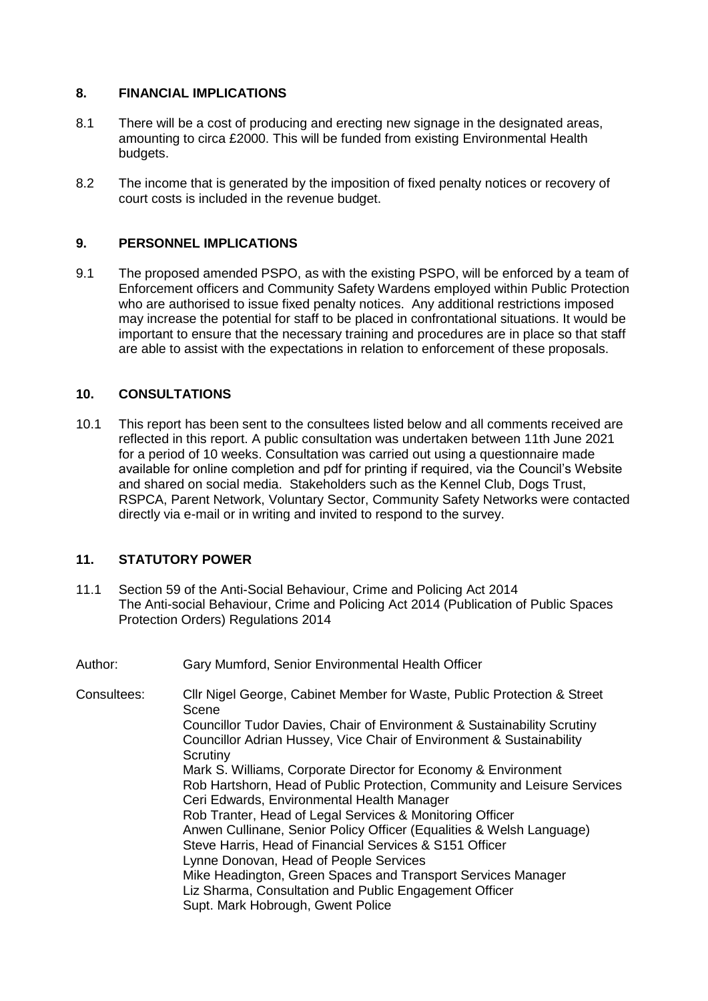# **8. FINANCIAL IMPLICATIONS**

- 8.1 There will be a cost of producing and erecting new signage in the designated areas, amounting to circa £2000. This will be funded from existing Environmental Health budgets.
- 8.2 The income that is generated by the imposition of fixed penalty notices or recovery of court costs is included in the revenue budget.

# **9. PERSONNEL IMPLICATIONS**

9.1 The proposed amended PSPO, as with the existing PSPO, will be enforced by a team of Enforcement officers and Community Safety Wardens employed within Public Protection who are authorised to issue fixed penalty notices. Any additional restrictions imposed may increase the potential for staff to be placed in confrontational situations. It would be important to ensure that the necessary training and procedures are in place so that staff are able to assist with the expectations in relation to enforcement of these proposals.

# **10. CONSULTATIONS**

10.1 This report has been sent to the consultees listed below and all comments received are reflected in this report. A public consultation was undertaken between 11th June 2021 for a period of 10 weeks. Consultation was carried out using a questionnaire made available for online completion and pdf for printing if required, via the Council's Website and shared on social media. Stakeholders such as the Kennel Club, Dogs Trust, RSPCA, Parent Network, Voluntary Sector, Community Safety Networks were contacted directly via e-mail or in writing and invited to respond to the survey.

#### **11. STATUTORY POWER**

- 11.1 Section 59 of the Anti-Social Behaviour, Crime and Policing Act 2014 The Anti-social Behaviour, Crime and Policing Act 2014 (Publication of Public Spaces Protection Orders) Regulations 2014
- Author: Gary Mumford, Senior Environmental Health Officer
- Consultees: Cllr Nigel George, Cabinet Member for Waste, Public Protection & Street Scene Councillor Tudor Davies, Chair of Environment & Sustainability Scrutiny Councillor Adrian Hussey, Vice Chair of Environment & Sustainability **Scrutiny** Mark S. Williams, Corporate Director for Economy & Environment Rob Hartshorn, Head of Public Protection, Community and Leisure Services Ceri Edwards, Environmental Health Manager Rob Tranter, Head of Legal Services & Monitoring Officer Anwen Cullinane, Senior Policy Officer (Equalities & Welsh Language) Steve Harris, Head of Financial Services & S151 Officer Lynne Donovan, Head of People Services Mike Headington, Green Spaces and Transport Services Manager Liz Sharma, Consultation and Public Engagement Officer Supt. Mark Hobrough, Gwent Police